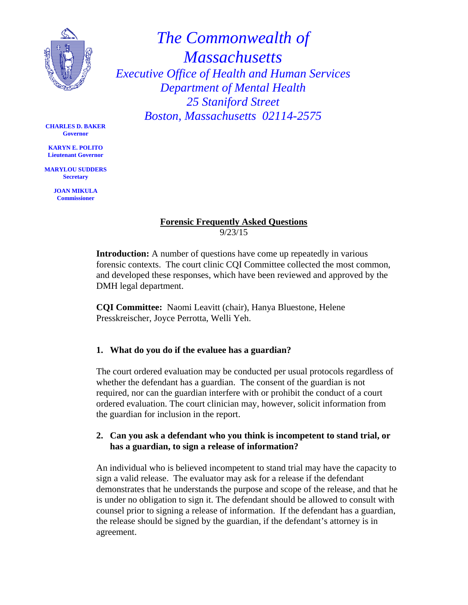

*The Commonwealth of Massachusetts Executive Office of Health and Human Services Department of Mental Health 25 Staniford Street Boston, Massachusetts 02114-2575* 

**CHARLES D. BAKER Governor** 

**KARYN E. POLITO Lieutenant Governor** 

**MARYLOU SUDDERS Secretary** 

> **JOAN MIKULA Commissioner**

# **Forensic Frequently Asked Questions**  9/23/15

**Introduction:** A number of questions have come up repeatedly in various forensic contexts. The court clinic CQI Committee collected the most common, and developed these responses, which have been reviewed and approved by the DMH legal department.

**CQI Committee:** Naomi Leavitt (chair), Hanya Bluestone, Helene Presskreischer, Joyce Perrotta, Welli Yeh.

## **1. What do you do if the evaluee has a guardian?**

The court ordered evaluation may be conducted per usual protocols regardless of whether the defendant has a guardian. The consent of the guardian is not required, nor can the guardian interfere with or prohibit the conduct of a court ordered evaluation. The court clinician may, however, solicit information from the guardian for inclusion in the report.

## **2. Can you ask a defendant who you think is incompetent to stand trial, or has a guardian, to sign a release of information?**

An individual who is believed incompetent to stand trial may have the capacity to sign a valid release. The evaluator may ask for a release if the defendant demonstrates that he understands the purpose and scope of the release, and that he is under no obligation to sign it. The defendant should be allowed to consult with counsel prior to signing a release of information. If the defendant has a guardian, the release should be signed by the guardian, if the defendant's attorney is in agreement.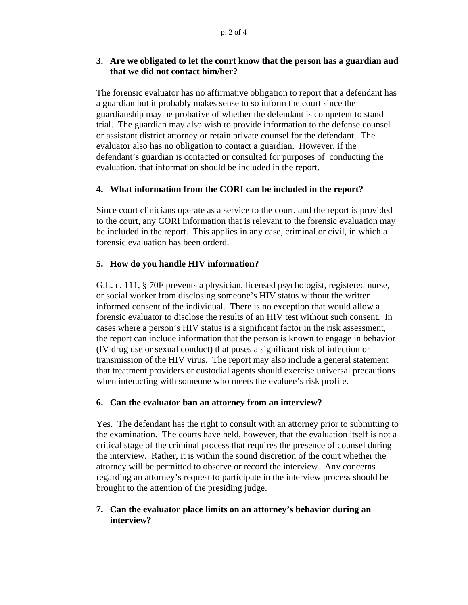## **3. Are we obligated to let the court know that the person has a guardian and that we did not contact him/her?**

The forensic evaluator has no affirmative obligation to report that a defendant has a guardian but it probably makes sense to so inform the court since the guardianship may be probative of whether the defendant is competent to stand trial. The guardian may also wish to provide information to the defense counsel or assistant district attorney or retain private counsel for the defendant. The evaluator also has no obligation to contact a guardian. However, if the defendant's guardian is contacted or consulted for purposes of conducting the evaluation, that information should be included in the report.

## **4. What information from the CORI can be included in the report?**

Since court clinicians operate as a service to the court, and the report is provided to the court, any CORI information that is relevant to the forensic evaluation may be included in the report. This applies in any case, criminal or civil, in which a forensic evaluation has been orderd.

## **5. How do you handle HIV information?**

G.L. c. 111, § 70F prevents a physician, licensed psychologist, registered nurse, or social worker from disclosing someone's HIV status without the written informed consent of the individual. There is no exception that would allow a forensic evaluator to disclose the results of an HIV test without such consent. In cases where a person's HIV status is a significant factor in the risk assessment, the report can include information that the person is known to engage in behavior (IV drug use or sexual conduct) that poses a significant risk of infection or transmission of the HIV virus. The report may also include a general statement that treatment providers or custodial agents should exercise universal precautions when interacting with someone who meets the evaluee's risk profile.

### **6. Can the evaluator ban an attorney from an interview?**

Yes. The defendant has the right to consult with an attorney prior to submitting to the examination. The courts have held, however, that the evaluation itself is not a critical stage of the criminal process that requires the presence of counsel during the interview. Rather, it is within the sound discretion of the court whether the attorney will be permitted to observe or record the interview. Any concerns regarding an attorney's request to participate in the interview process should be brought to the attention of the presiding judge.

### **7. Can the evaluator place limits on an attorney's behavior during an interview?**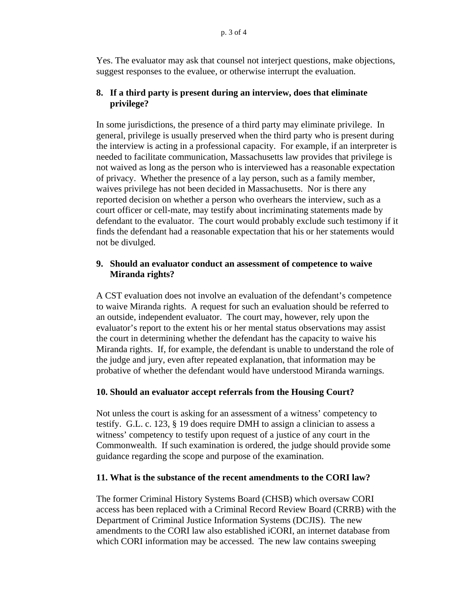Yes. The evaluator may ask that counsel not interject questions, make objections, suggest responses to the evaluee, or otherwise interrupt the evaluation.

### **8. If a third party is present during an interview, does that eliminate privilege?**

In some jurisdictions, the presence of a third party may eliminate privilege. In general, privilege is usually preserved when the third party who is present during the interview is acting in a professional capacity. For example, if an interpreter is needed to facilitate communication, Massachusetts law provides that privilege is not waived as long as the person who is interviewed has a reasonable expectation of privacy. Whether the presence of a lay person, such as a family member, waives privilege has not been decided in Massachusetts. Nor is there any reported decision on whether a person who overhears the interview, such as a court officer or cell-mate, may testify about incriminating statements made by defendant to the evaluator. The court would probably exclude such testimony if it finds the defendant had a reasonable expectation that his or her statements would not be divulged.

#### **9. Should an evaluator conduct an assessment of competence to waive Miranda rights?**

A CST evaluation does not involve an evaluation of the defendant's competence to waive Miranda rights. A request for such an evaluation should be referred to an outside, independent evaluator. The court may, however, rely upon the evaluator's report to the extent his or her mental status observations may assist the court in determining whether the defendant has the capacity to waive his Miranda rights. If, for example, the defendant is unable to understand the role of the judge and jury, even after repeated explanation, that information may be probative of whether the defendant would have understood Miranda warnings.

#### **10. Should an evaluator accept referrals from the Housing Court?**

Not unless the court is asking for an assessment of a witness' competency to testify. G.L. c. 123, § 19 does require DMH to assign a clinician to assess a witness' competency to testify upon request of a justice of any court in the Commonwealth. If such examination is ordered, the judge should provide some guidance regarding the scope and purpose of the examination.

#### **11. What is the substance of the recent amendments to the CORI law?**

The former Criminal History Systems Board (CHSB) which oversaw CORI access has been replaced with a Criminal Record Review Board (CRRB) with the Department of Criminal Justice Information Systems (DCJIS). The new amendments to the CORI law also established iCORI, an internet database from which CORI information may be accessed. The new law contains sweeping